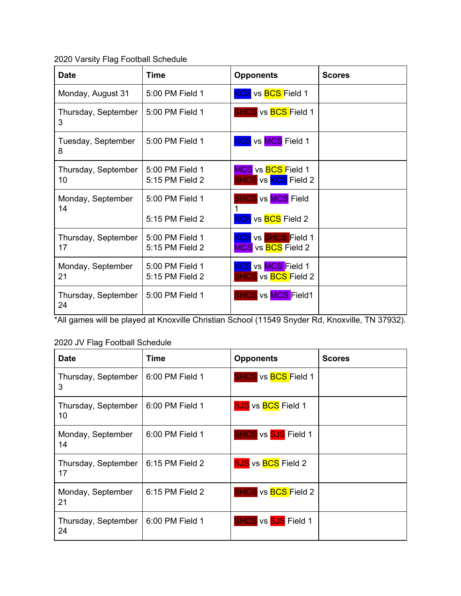2020 Varsity Flag Football Schedule

| <b>Date</b>               | <b>Time</b>                        | <b>Opponents</b>                                               | <b>Scores</b> |
|---------------------------|------------------------------------|----------------------------------------------------------------|---------------|
| Monday, August 31         | 5:00 PM Field 1                    | <b>KCS</b> vs <b>BCS</b> Field 1                               |               |
| Thursday, September<br>3  | 5:00 PM Field 1                    | SHCS vs BCS Field 1                                            |               |
| Tuesday, September<br>8   | 5:00 PM Field 1                    | <b>KCS</b> vs MCS Field 1                                      |               |
| Thursday, September<br>10 | 5:00 PM Field 1<br>5:15 PM Field 2 | MCS vs BCS Field 1<br><b>SHCS</b> vs <b>KCS</b> Field 2        |               |
| Monday, September<br>14   | 5:00 PM Field 1                    | <b>SHCS vs MCS Field</b>                                       |               |
|                           | 5:15 PM Field 2                    | <b>KCS</b> vs <b>BCS</b> Field 2                               |               |
| Thursday, September<br>17 | 5:00 PM Field 1<br>5:15 PM Field 2 | <b>KCS</b> vs SHCS Field 1<br>MCS vs BCS Field 2               |               |
| Monday, September<br>21   | 5:00 PM Field 1<br>5:15 PM Field 2 | <b>KCS</b> vs MCS Field 1<br><b>SHCS</b> vs <b>BCS</b> Field 2 |               |
| Thursday, September<br>24 | 5:00 PM Field 1                    | <b>SHCS</b> vs MCS Field1                                      |               |

\*All games will be played at Knoxville Christian School (11549 Snyder Rd, Knoxville, TN 37932).

## 2020 JV Flag Football Schedule

| <b>Date</b>               | Time            | <b>Opponents</b>                  | <b>Scores</b> |
|---------------------------|-----------------|-----------------------------------|---------------|
| Thursday, September<br>3  | 6:00 PM Field 1 | <b>SHCS</b> vs <b>BCS</b> Field 1 |               |
| Thursday, September<br>10 | 6:00 PM Field 1 | <b>SJS</b> vs <b>BCS</b> Field 1  |               |
| Monday, September<br>14   | 6:00 PM Field 1 | <b>SHCS</b> vs SJS Field 1        |               |
| Thursday, September<br>17 | 6:15 PM Field 2 | <b>SJS</b> vs <b>BCS</b> Field 2  |               |
| Monday, September<br>21   | 6:15 PM Field 2 | <b>SHCS</b> vs <b>BCS</b> Field 2 |               |
| Thursday, September<br>24 | 6:00 PM Field 1 | <b>SHCS</b> vs <b>SJS</b> Field 1 |               |